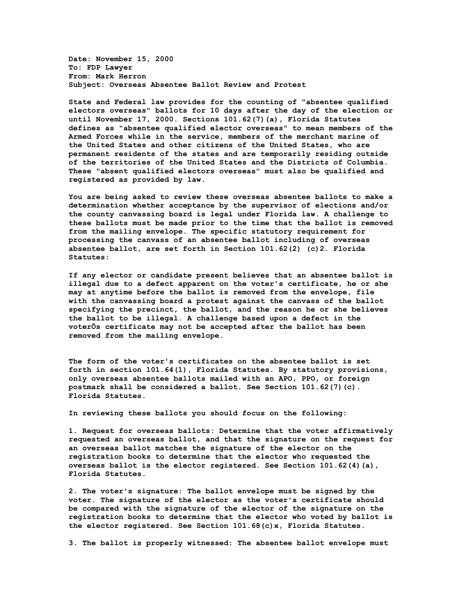**Date: November 15, 2000 To: FDP Lawyer From: Mark Herron Subject: Overseas Absentee Ballot Review and Protest**

**State and Federal law provides for the counting of "absentee qualified electors overseas" ballots for 10 days after the day of the election or until November 17, 2000. Sections 101.62(7)(a), Florida Statutes defines as "absentee qualified elector overseas" to mean members of the Armed Forces while in the service, members of the merchant marine of the United States and other citizens of the United States, who are permanent residents of the states and are temporarily residing outside of the territories of the United States and the Districts of Columbia. These "absent qualified electors overseas" must also be qualified and registered as provided by law.**

**You are being asked to review these overseas absentee ballots to make a determination whether acceptance by the supervisor of elections and/or the county canvassing board is legal under Florida law. A challenge to these ballots must be made prior to the time that the ballot is removed from the mailing envelope. The specific statutory requirement for processing the canvass of an absentee ballot including of overseas absentee ballot, are set forth in Section 101.62(2) (c)2. Florida Statutes:**

**If any elector or candidate present believes that an absentee ballot is illegal due to a defect apparent on the voter's certificate, he or she may at anytime before the ballot is removed from the envelope, file with the canvassing board a protest against the canvass of the ballot specifying the precinct, the ballot, and the reason he or she believes the ballot to be illegal. A challenge based upon a defect in the voterÕs certificate may not be accepted after the ballot has been removed from the mailing envelope.** 

**The form of the voter's certificates on the absentee ballot is set forth in section 101.64(1), Florida Statutes. By statutory provisions, only overseas absentee ballots mailed with an APO, PPO, or foreign postmark shall be considered a ballot. See Section 101.62(7)(c). Florida Statutes.**

**In reviewing these ballots you should focus on the following:**

**1. Request for overseas ballots: Determine that the voter affirmatively requested an overseas ballot, and that the signature on the request for an overseas ballot matches the signature of the elector on the registration books to determine that the elector who requested the overseas ballot is the elector registered. See Section 101.62(4)(a), Florida Statutes.**

**2. The voter's signature: The ballot envelope must be signed by the voter. The signature of the elector as the voter's certificate should be compared with the signature of the elector of the signature on the registration books to determine that the elector who voted by ballot is the elector registered. See Section 101.68(c)x, Florida Statutes.**

**3. The ballot is properly witnessed: The absentee ballot envelope must**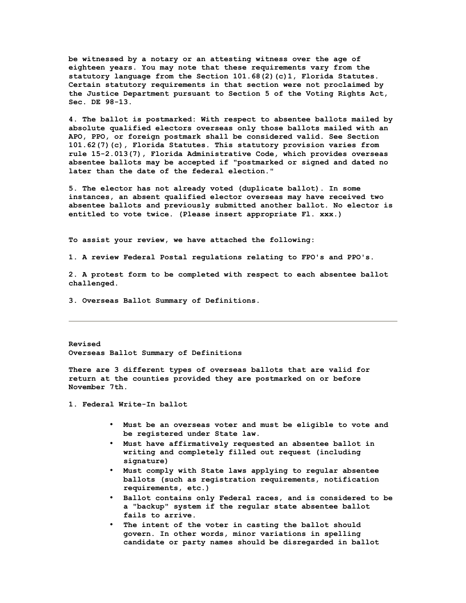**be witnessed by a notary or an attesting witness over the age of eighteen years. You may note that these requirements vary from the statutory language from the Section 101.68(2)(c)1, Florida Statutes. Certain statutory requirements in that section were not proclaimed by the Justice Department pursuant to Section 5 of the Voting Rights Act, Sec. DE 98-13.**

**4. The ballot is postmarked: With respect to absentee ballots mailed by absolute qualified electors overseas only those ballots mailed with an APO, PPO, or foreign postmark shall be considered valid. See Section 101.62(7)(c), Florida Statutes. This statutory provision varies from rule 15-2.013(7), Florida Administrative Code, which provides overseas absentee ballots may be accepted if "postmarked or signed and dated no later than the date of the federal election."**

**5. The elector has not already voted (duplicate ballot). In some instances, an absent qualified elector overseas may have received two absentee ballots and previously submitted another ballot. No elector is entitled to vote twice. (Please insert appropriate Fl. xxx.)** 

**To assist your review, we have attached the following:**

**1. A review Federal Postal regulations relating to FPO's and PPO's.**

**2. A protest form to be completed with respect to each absentee ballot challenged.**

**3. Overseas Ballot Summary of Definitions.**

**Revised Overseas Ballot Summary of Definitions**

**There are 3 different types of overseas ballots that are valid for return at the counties provided they are postmarked on or before November 7th.**

**1. Federal Write-In ballot**

- **Must be an overseas voter and must be eligible to vote and be registered under State law.**
- **Must have affirmatively requested an absentee ballot in writing and completely filled out request (including signature)**
- **Must comply with State laws applying to regular absentee ballots (such as registration requirements, notification requirements, etc.)**
- **Ballot contains only Federal races, and is considered to be a "backup" system if the regular state absentee ballot fails to arrive.**
- The intent of the voter in casting the ballot should **govern. In other words, minor variations in spelling candidate or party names should be disregarded in ballot**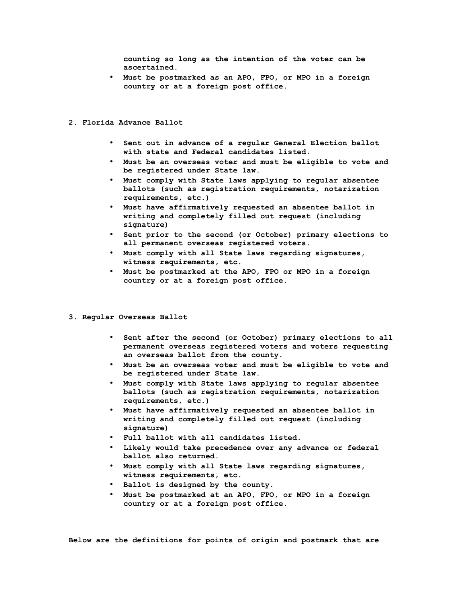**counting so long as the intention of the voter can be ascertained.**

• **Must be postmarked as an APO, FPO, or MPO in a foreign country or at a foreign post office.**

## **2. Florida Advance Ballot**

- **Sent out in advance of a regular General Election ballot with state and Federal candidates listed.**
- **Must be an overseas voter and must be eligible to vote and be registered under State law.**
- **Must comply with State laws applying to regular absentee ballots (such as registration requirements, notarization requirements, etc.)**
- **Must have affirmatively requested an absentee ballot in writing and completely filled out request (including signature)**
- **Sent prior to the second (or October) primary elections to all permanent overseas registered voters.**
- **Must comply with all State laws regarding signatures, witness requirements, etc.**
- **Must be postmarked at the APO, FPO or MPO in a foreign country or at a foreign post office.**
- **3. Regular Overseas Ballot**
	- **Sent after the second (or October) primary elections to all permanent overseas registered voters and voters requesting an overseas ballot from the county.**
	- **Must be an overseas voter and must be eligible to vote and be registered under State law.**
	- **Must comply with State laws applying to regular absentee ballots (such as registration requirements, notarization requirements, etc.)**
	- **Must have affirmatively requested an absentee ballot in writing and completely filled out request (including signature)**
	- **Full ballot with all candidates listed.**
	- **Likely would take precedence over any advance or federal ballot also returned.**
	- **Must comply with all State laws regarding signatures, witness requirements, etc.**
	- **Ballot is designed by the county.**
	- **Must be postmarked at an APO, FPO, or MPO in a foreign country or at a foreign post office.**

**Below are the definitions for points of origin and postmark that are**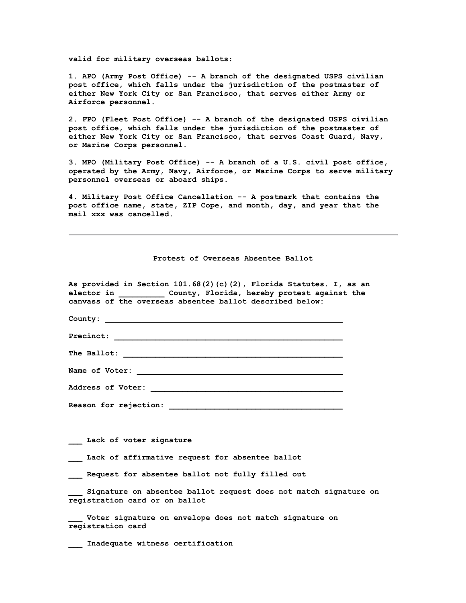**valid for military overseas ballots:**

**1. APO (Army Post Office) -- A branch of the designated USPS civilian post office, which falls under the jurisdiction of the postmaster of either New York City or San Francisco, that serves either Army or Airforce personnel.**

**2. FPO (Fleet Post Office) -- A branch of the designated USPS civilian post office, which falls under the jurisdiction of the postmaster of either New York City or San Francisco, that serves Coast Guard, Navy, or Marine Corps personnel.**

**3. MPO (Military Post Office) -- A branch of a U.S. civil post office, operated by the Army, Navy, Airforce, or Marine Corps to serve military personnel overseas or aboard ships.**

**4. Military Post Office Cancellation -- A postmark that contains the post office name, state, ZIP Cope, and month, day, and year that the mail xxx was cancelled.**

**Protest of Overseas Absentee Ballot**

| As provided in Section 101.68(2)(c)(2), Florida Statutes. I, as an<br>elector in Tounty, Florida, hereby protest against the<br>canvass of the overseas absentee ballot described below: |
|------------------------------------------------------------------------------------------------------------------------------------------------------------------------------------------|
|                                                                                                                                                                                          |
| Precinct:                                                                                                                                                                                |
|                                                                                                                                                                                          |
| Name of Voter:                                                                                                                                                                           |
|                                                                                                                                                                                          |
|                                                                                                                                                                                          |
|                                                                                                                                                                                          |
| Lack of voter signature                                                                                                                                                                  |
| Lack of affirmative request for absentee ballot                                                                                                                                          |
| Request for absentee ballot not fully filled out                                                                                                                                         |
| Signature on absentee ballot request does not match signature on<br>registration card or on ballot                                                                                       |
| Voter signature on envelope does not match signature on<br>registration card                                                                                                             |
| Inadequate witness certification                                                                                                                                                         |